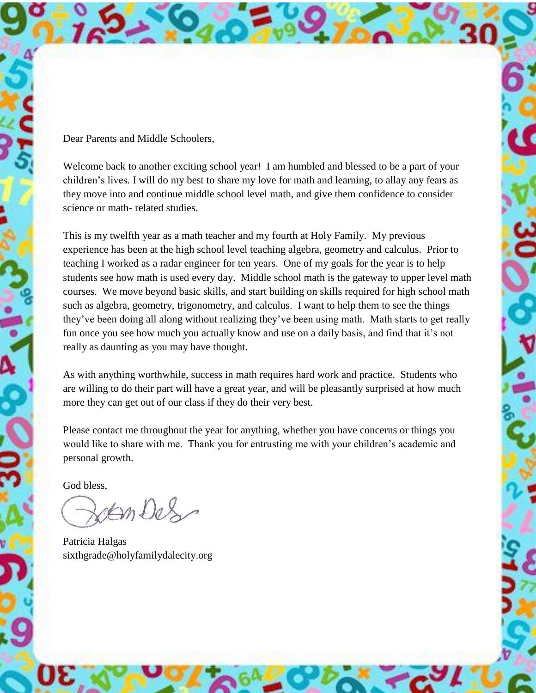Dear Parents and Middle Schoolers,

Welcome back to another exciting school year! I am humbled and blessed to be a part of your children's lives. I will do my best to share my love for math and learning, to allay any fears as they move into and continue middle school level math, and give them confidence to consider science or math- related studies.

This is my twelfth year as a math teacher and my fourth at Holy Family. My previous experience has been at the high school level teaching algebra, geometry and calculus. Prior to teaching I worked as a radar engineer for ten years. One of my goals for the year is to help students see how math is used every day. Middle school math is the gateway to upper level math courses. We move beyond basic skills, and start building on skills required for high school math such as algebra, geometry, trigonometry, and calculus. I want to help them to see the things they've been doing all along without realizing they've been using math. Math starts to get really fun once you see how much you actually know and use on a daily basis, and find that it's not really as daunting as you may have thought.

As with anything worthwhile, success in math requires hard work and practice. Students who are willing to do their part will have a great year, and will be pleasantly surprised at how much more they can get out of our class if they do their very best.

Please contact me throughout the year for anything, whether you have concerns or things you would like to share with me. Thank you for entrusting me with your children's academic and personal growth.

God bless,

AnDes

Patricia Halgas sixthgrade@holyfamilydalecity.org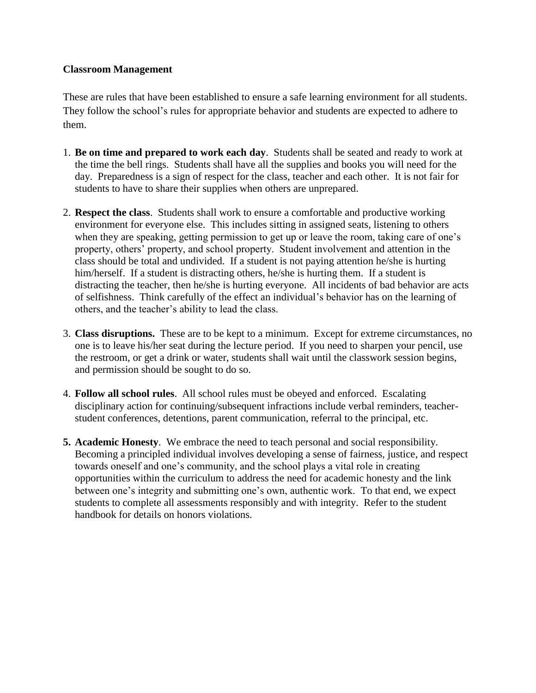#### **Classroom Management**

These are rules that have been established to ensure a safe learning environment for all students. They follow the school's rules for appropriate behavior and students are expected to adhere to them.

- 1. **Be on time and prepared to work each day**. Students shall be seated and ready to work at the time the bell rings. Students shall have all the supplies and books you will need for the day. Preparedness is a sign of respect for the class, teacher and each other. It is not fair for students to have to share their supplies when others are unprepared.
- 2. **Respect the class**. Students shall work to ensure a comfortable and productive working environment for everyone else. This includes sitting in assigned seats, listening to others when they are speaking, getting permission to get up or leave the room, taking care of one's property, others' property, and school property. Student involvement and attention in the class should be total and undivided. If a student is not paying attention he/she is hurting him/herself. If a student is distracting others, he/she is hurting them. If a student is distracting the teacher, then he/she is hurting everyone. All incidents of bad behavior are acts of selfishness. Think carefully of the effect an individual's behavior has on the learning of others, and the teacher's ability to lead the class.
- 3. **Class disruptions.** These are to be kept to a minimum. Except for extreme circumstances, no one is to leave his/her seat during the lecture period. If you need to sharpen your pencil, use the restroom, or get a drink or water, students shall wait until the classwork session begins, and permission should be sought to do so.
- 4. **Follow all school rules**. All school rules must be obeyed and enforced. Escalating disciplinary action for continuing/subsequent infractions include verbal reminders, teacherstudent conferences, detentions, parent communication, referral to the principal, etc.
- **5. Academic Honesty**. We embrace the need to teach personal and social responsibility. Becoming a principled individual involves developing a sense of fairness, justice, and respect towards oneself and one's community, and the school plays a vital role in creating opportunities within the curriculum to address the need for academic honesty and the link between one's integrity and submitting one's own, authentic work. To that end, we expect students to complete all assessments responsibly and with integrity. Refer to the student handbook for details on honors violations.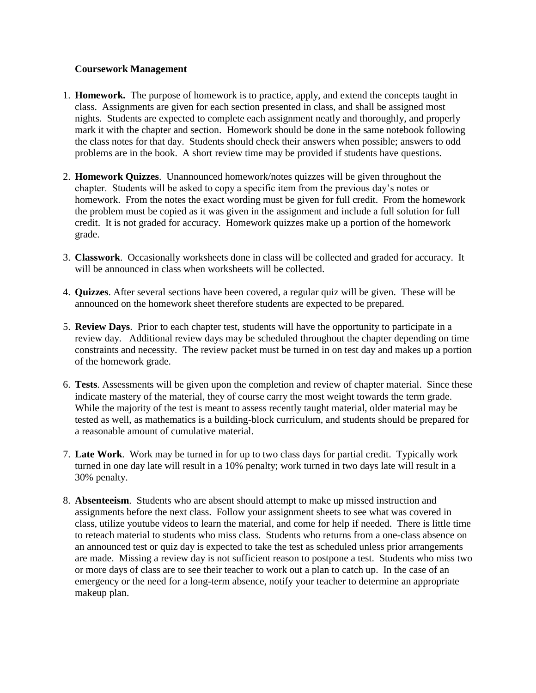#### **Coursework Management**

- 1. **Homework.** The purpose of homework is to practice, apply, and extend the concepts taught in class. Assignments are given for each section presented in class, and shall be assigned most nights. Students are expected to complete each assignment neatly and thoroughly, and properly mark it with the chapter and section. Homework should be done in the same notebook following the class notes for that day. Students should check their answers when possible; answers to odd problems are in the book. A short review time may be provided if students have questions.
- 2. **Homework Quizzes**. Unannounced homework/notes quizzes will be given throughout the chapter. Students will be asked to copy a specific item from the previous day's notes or homework. From the notes the exact wording must be given for full credit. From the homework the problem must be copied as it was given in the assignment and include a full solution for full credit. It is not graded for accuracy. Homework quizzes make up a portion of the homework grade.
- 3. **Classwork**. Occasionally worksheets done in class will be collected and graded for accuracy. It will be announced in class when worksheets will be collected.
- 4. **Quizzes**. After several sections have been covered, a regular quiz will be given. These will be announced on the homework sheet therefore students are expected to be prepared.
- 5. **Review Days**. Prior to each chapter test, students will have the opportunity to participate in a review day. Additional review days may be scheduled throughout the chapter depending on time constraints and necessity. The review packet must be turned in on test day and makes up a portion of the homework grade.
- 6. **Tests**. Assessments will be given upon the completion and review of chapter material. Since these indicate mastery of the material, they of course carry the most weight towards the term grade. While the majority of the test is meant to assess recently taught material, older material may be tested as well, as mathematics is a building-block curriculum, and students should be prepared for a reasonable amount of cumulative material.
- 7. **Late Work**. Work may be turned in for up to two class days for partial credit. Typically work turned in one day late will result in a 10% penalty; work turned in two days late will result in a 30% penalty.
- 8. **Absenteeism**. Students who are absent should attempt to make up missed instruction and assignments before the next class. Follow your assignment sheets to see what was covered in class, utilize youtube videos to learn the material, and come for help if needed. There is little time to reteach material to students who miss class. Students who returns from a one-class absence on an announced test or quiz day is expected to take the test as scheduled unless prior arrangements are made. Missing a review day is not sufficient reason to postpone a test. Students who miss two or more days of class are to see their teacher to work out a plan to catch up. In the case of an emergency or the need for a long-term absence, notify your teacher to determine an appropriate makeup plan.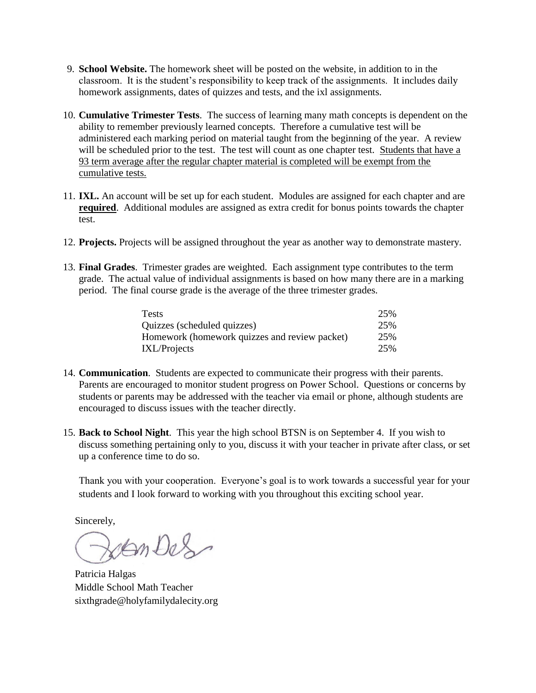- 9. **School Website.** The homework sheet will be posted on the website, in addition to in the classroom. It is the student's responsibility to keep track of the assignments. It includes daily homework assignments, dates of quizzes and tests, and the ixl assignments.
- 10. **Cumulative Trimester Tests**. The success of learning many math concepts is dependent on the ability to remember previously learned concepts. Therefore a cumulative test will be administered each marking period on material taught from the beginning of the year. A review will be scheduled prior to the test. The test will count as one chapter test. Students that have a 93 term average after the regular chapter material is completed will be exempt from the cumulative tests.
- 11. **IXL.** An account will be set up for each student. Modules are assigned for each chapter and are **required**. Additional modules are assigned as extra credit for bonus points towards the chapter test.
- 12. **Projects.** Projects will be assigned throughout the year as another way to demonstrate mastery.
- 13. **Final Grades**. Trimester grades are weighted. Each assignment type contributes to the term grade. The actual value of individual assignments is based on how many there are in a marking period. The final course grade is the average of the three trimester grades.

| Tests                                         | 25% |
|-----------------------------------------------|-----|
| Quizzes (scheduled quizzes)                   | 25% |
| Homework (homework quizzes and review packet) | 25% |
| <b>IXL/Projects</b>                           | 25% |

- 14. **Communication**. Students are expected to communicate their progress with their parents. Parents are encouraged to monitor student progress on Power School. Questions or concerns by students or parents may be addressed with the teacher via email or phone, although students are encouraged to discuss issues with the teacher directly.
- 15. **Back to School Night**. This year the high school BTSN is on September 4. If you wish to discuss something pertaining only to you, discuss it with your teacher in private after class, or set up a conference time to do so.

Thank you with your cooperation. Everyone's goal is to work towards a successful year for your students and I look forward to working with you throughout this exciting school year.

Sincerely,

Jen Des

Patricia Halgas Middle School Math Teacher sixthgrade@holyfamilydalecity.org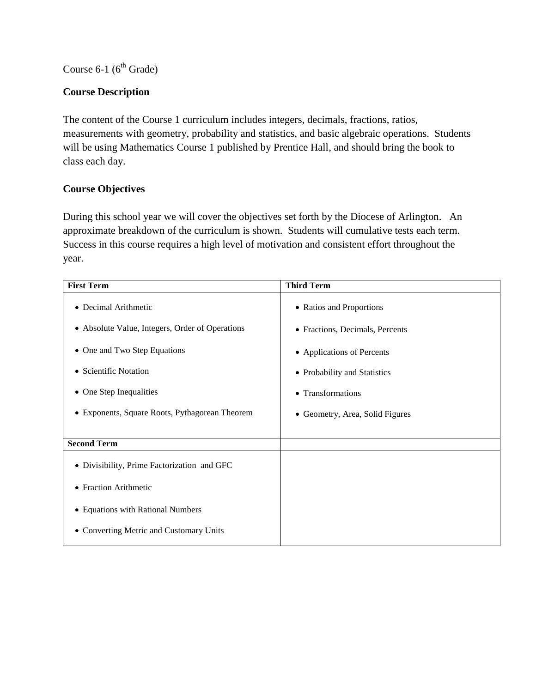Course  $6-1$  ( $6<sup>th</sup>$  Grade)

# **Course Description**

The content of the Course 1 curriculum includes integers, decimals, fractions, ratios, measurements with geometry, probability and statistics, and basic algebraic operations. Students will be using Mathematics Course 1 published by Prentice Hall, and should bring the book to class each day.

# **Course Objectives**

| <b>First Term</b>                               | <b>Third Term</b>                  |
|-------------------------------------------------|------------------------------------|
| • Decimal Arithmetic                            | • Ratios and Proportions           |
| • Absolute Value, Integers, Order of Operations | • Fractions, Decimals, Percents    |
| • One and Two Step Equations                    | • Applications of Percents         |
| • Scientific Notation                           | • Probability and Statistics       |
| • One Step Inequalities                         | • Transformations                  |
| • Exponents, Square Roots, Pythagorean Theorem  | Geometry, Area, Solid Figures<br>٠ |
|                                                 |                                    |
| <b>Second Term</b>                              |                                    |
| • Divisibility, Prime Factorization and GFC     |                                    |
| • Fraction Arithmetic                           |                                    |
| • Equations with Rational Numbers               |                                    |
| • Converting Metric and Customary Units         |                                    |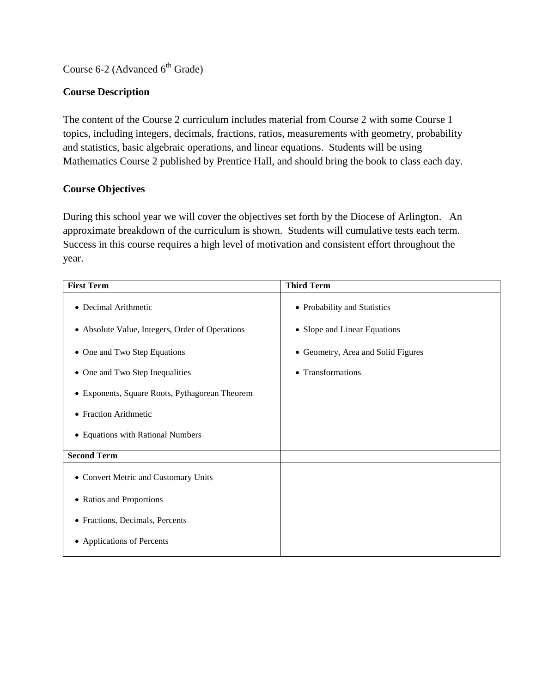Course 6-2 (Advanced  $6<sup>th</sup>$  Grade)

# **Course Description**

The content of the Course 2 curriculum includes material from Course 2 with some Course 1 topics, including integers, decimals, fractions, ratios, measurements with geometry, probability and statistics, basic algebraic operations, and linear equations. Students will be using Mathematics Course 2 published by Prentice Hall, and should bring the book to class each day.

# **Course Objectives**

| <b>First Term</b>                               | <b>Third Term</b>                  |
|-------------------------------------------------|------------------------------------|
| • Decimal Arithmetic                            | • Probability and Statistics       |
| • Absolute Value, Integers, Order of Operations | • Slope and Linear Equations       |
| • One and Two Step Equations                    | • Geometry, Area and Solid Figures |
| • One and Two Step Inequalities                 | • Transformations                  |
| • Exponents, Square Roots, Pythagorean Theorem  |                                    |
| • Fraction Arithmetic                           |                                    |
| • Equations with Rational Numbers               |                                    |
| <b>Second Term</b>                              |                                    |
| • Convert Metric and Customary Units            |                                    |
| • Ratios and Proportions                        |                                    |
| • Fractions, Decimals, Percents                 |                                    |
| • Applications of Percents                      |                                    |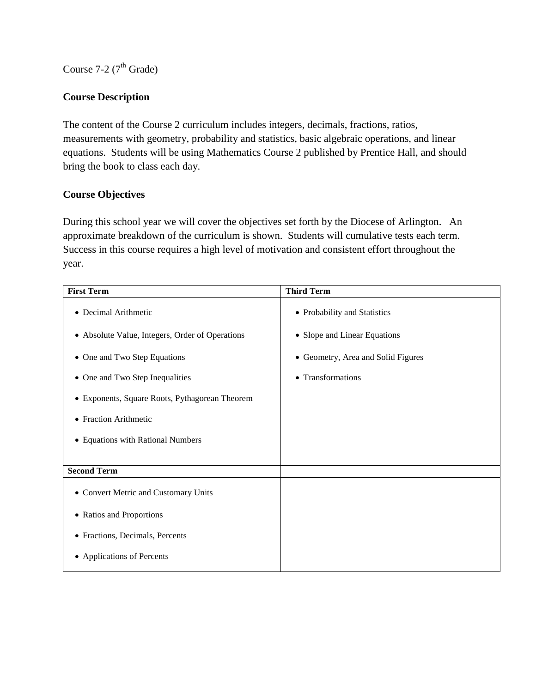Course 7-2 ( $7<sup>th</sup>$  Grade)

## **Course Description**

The content of the Course 2 curriculum includes integers, decimals, fractions, ratios, measurements with geometry, probability and statistics, basic algebraic operations, and linear equations. Students will be using Mathematics Course 2 published by Prentice Hall, and should bring the book to class each day.

## **Course Objectives**

| <b>First Term</b>                               | <b>Third Term</b>                  |
|-------------------------------------------------|------------------------------------|
| • Decimal Arithmetic                            | • Probability and Statistics       |
| • Absolute Value, Integers, Order of Operations | • Slope and Linear Equations       |
| • One and Two Step Equations                    | • Geometry, Area and Solid Figures |
| • One and Two Step Inequalities                 | • Transformations                  |
| • Exponents, Square Roots, Pythagorean Theorem  |                                    |
| • Fraction Arithmetic                           |                                    |
| • Equations with Rational Numbers               |                                    |
|                                                 |                                    |
| <b>Second Term</b>                              |                                    |
| • Convert Metric and Customary Units            |                                    |
| • Ratios and Proportions                        |                                    |
| • Fractions, Decimals, Percents                 |                                    |
| • Applications of Percents                      |                                    |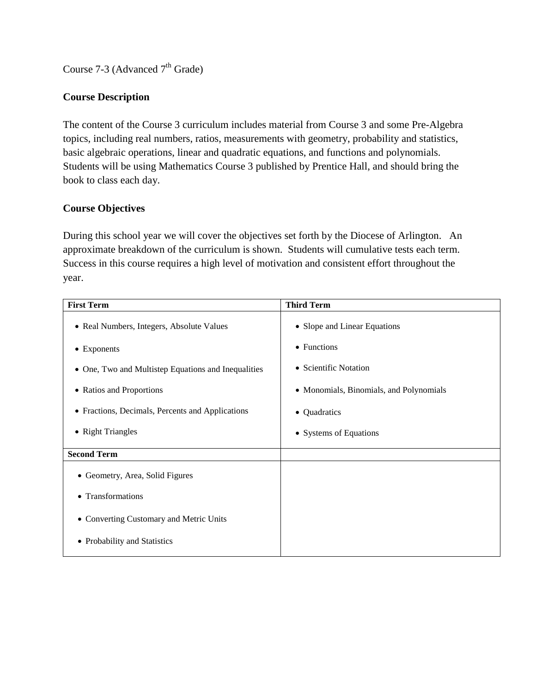Course  $7-3$  (Advanced  $7<sup>th</sup>$  Grade)

## **Course Description**

The content of the Course 3 curriculum includes material from Course 3 and some Pre-Algebra topics, including real numbers, ratios, measurements with geometry, probability and statistics, basic algebraic operations, linear and quadratic equations, and functions and polynomials. Students will be using Mathematics Course 3 published by Prentice Hall, and should bring the book to class each day.

## **Course Objectives**

| <b>First Term</b>                                   | <b>Third Term</b>                       |
|-----------------------------------------------------|-----------------------------------------|
| • Real Numbers, Integers, Absolute Values           | • Slope and Linear Equations            |
| $\bullet$ Exponents                                 | • Functions                             |
| • One, Two and Multistep Equations and Inequalities | • Scientific Notation                   |
| • Ratios and Proportions                            | • Monomials, Binomials, and Polynomials |
| • Fractions, Decimals, Percents and Applications    | • Quadratics                            |
| • Right Triangles                                   | • Systems of Equations                  |
| <b>Second Term</b>                                  |                                         |
| • Geometry, Area, Solid Figures                     |                                         |
| • Transformations                                   |                                         |
| • Converting Customary and Metric Units             |                                         |
| • Probability and Statistics                        |                                         |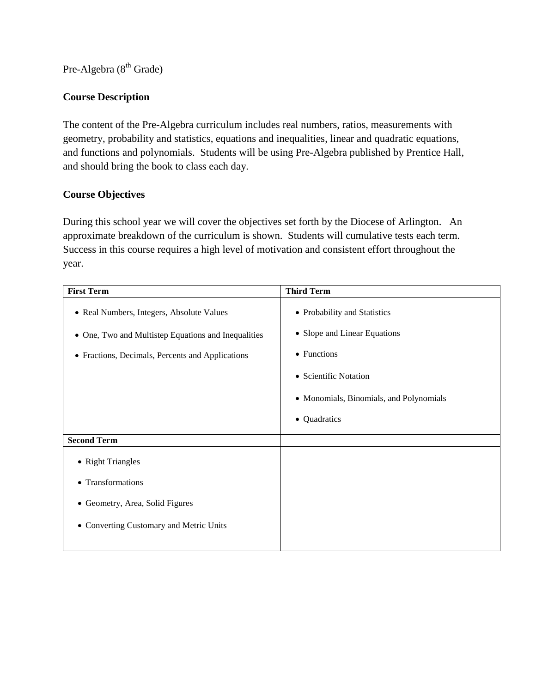Pre-Algebra (8<sup>th</sup> Grade)

## **Course Description**

The content of the Pre-Algebra curriculum includes real numbers, ratios, measurements with geometry, probability and statistics, equations and inequalities, linear and quadratic equations, and functions and polynomials. Students will be using Pre-Algebra published by Prentice Hall, and should bring the book to class each day.

## **Course Objectives**

| <b>First Term</b>                                   | <b>Third Term</b>                       |
|-----------------------------------------------------|-----------------------------------------|
| • Real Numbers, Integers, Absolute Values           | • Probability and Statistics            |
| • One, Two and Multistep Equations and Inequalities | • Slope and Linear Equations            |
| • Fractions, Decimals, Percents and Applications    | • Functions                             |
|                                                     | • Scientific Notation                   |
|                                                     | • Monomials, Binomials, and Polynomials |
|                                                     | Quadratics<br>$\bullet$                 |
| <b>Second Term</b>                                  |                                         |
| • Right Triangles                                   |                                         |
| • Transformations                                   |                                         |
| • Geometry, Area, Solid Figures                     |                                         |
| • Converting Customary and Metric Units             |                                         |
|                                                     |                                         |